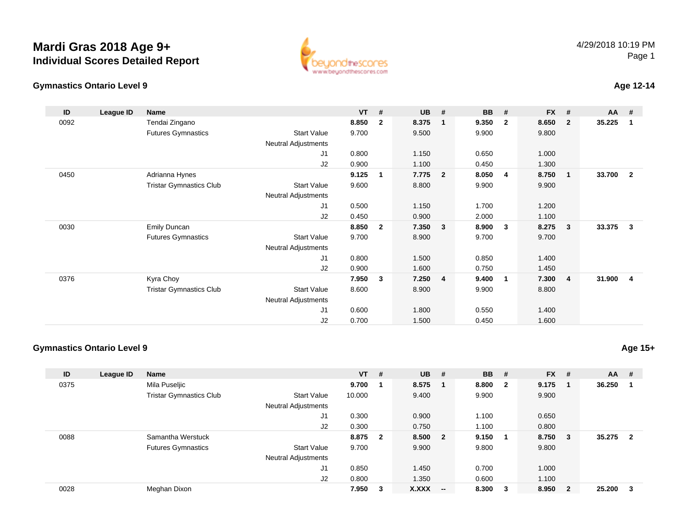## **Mardi Gras 2018 Age 9+Individual Scores Detailed Report**





## **Age 12-14**

| ID   | League ID | <b>Name</b>                    |                            | $VT$ # |              | <b>UB</b> | #              | <b>BB</b> | #              | <b>FX</b> | #                       | AA     | #              |
|------|-----------|--------------------------------|----------------------------|--------|--------------|-----------|----------------|-----------|----------------|-----------|-------------------------|--------|----------------|
| 0092 |           | Tendai Zingano                 |                            | 8.850  | $\mathbf{2}$ | 8.375     | 1              | 9.350     | $\overline{2}$ | 8.650     | $\overline{2}$          | 35.225 | $\mathbf 1$    |
|      |           | <b>Futures Gymnastics</b>      | <b>Start Value</b>         | 9.700  |              | 9.500     |                | 9.900     |                | 9.800     |                         |        |                |
|      |           |                                | <b>Neutral Adjustments</b> |        |              |           |                |           |                |           |                         |        |                |
|      |           |                                | J <sub>1</sub>             | 0.800  |              | 1.150     |                | 0.650     |                | 1.000     |                         |        |                |
|      |           |                                | J2                         | 0.900  |              | 1.100     |                | 0.450     |                | 1.300     |                         |        |                |
| 0450 |           | Adrianna Hynes                 |                            | 9.125  | 1            | 7.775     | $\overline{2}$ | 8.050     | 4              | 8.750     | $\overline{\mathbf{1}}$ | 33.700 | $\overline{2}$ |
|      |           | <b>Tristar Gymnastics Club</b> | <b>Start Value</b>         | 9.600  |              | 8.800     |                | 9.900     |                | 9.900     |                         |        |                |
|      |           |                                | Neutral Adjustments        |        |              |           |                |           |                |           |                         |        |                |
|      |           |                                | J <sub>1</sub>             | 0.500  |              | 1.150     |                | 1.700     |                | 1.200     |                         |        |                |
|      |           |                                | J2                         | 0.450  |              | 0.900     |                | 2.000     |                | 1.100     |                         |        |                |
| 0030 |           | Emily Duncan                   |                            | 8.850  | $\mathbf{2}$ | 7.350     | 3              | 8.900     | 3              | 8.275     | $\mathbf{3}$            | 33.375 | 3              |
|      |           | <b>Futures Gymnastics</b>      | <b>Start Value</b>         | 9.700  |              | 8.900     |                | 9.700     |                | 9.700     |                         |        |                |
|      |           |                                | <b>Neutral Adjustments</b> |        |              |           |                |           |                |           |                         |        |                |
|      |           |                                | J1                         | 0.800  |              | 1.500     |                | 0.850     |                | 1.400     |                         |        |                |
|      |           |                                | J2                         | 0.900  |              | 1.600     |                | 0.750     |                | 1.450     |                         |        |                |
| 0376 |           | Kyra Choy                      |                            | 7.950  | 3            | 7.250     | $\overline{4}$ | 9.400     | $\overline{1}$ | 7.300     | $\overline{4}$          | 31.900 | -4             |
|      |           | <b>Tristar Gymnastics Club</b> | <b>Start Value</b>         | 8.600  |              | 8.900     |                | 9.900     |                | 8.800     |                         |        |                |
|      |           |                                | <b>Neutral Adjustments</b> |        |              |           |                |           |                |           |                         |        |                |
|      |           |                                | J1                         | 0.600  |              | 1.800     |                | 0.550     |                | 1.400     |                         |        |                |
|      |           |                                | J2                         | 0.700  |              | 1.500     |                | 0.450     |                | 1.600     |                         |        |                |

## **Gymnastics Ontario Level 9**

**Age 15+**

| ID   | League ID | <b>Name</b>                                          | <b>VT</b>   | #                       | <b>UB</b> | #                        | <b>BB</b> | #            | $FX$ #  |                         | $AA$ #   |                         |
|------|-----------|------------------------------------------------------|-------------|-------------------------|-----------|--------------------------|-----------|--------------|---------|-------------------------|----------|-------------------------|
| 0375 |           | Mila Puseljic                                        | 9.700       |                         | 8.575     |                          | 8.800     | $\mathbf{2}$ | 9.175   | - 1                     | 36.250   | $\blacksquare$          |
|      |           | <b>Tristar Gymnastics Club</b><br><b>Start Value</b> | 10.000      |                         | 9.400     |                          | 9.900     |              | 9.900   |                         |          |                         |
|      |           | <b>Neutral Adjustments</b>                           |             |                         |           |                          |           |              |         |                         |          |                         |
|      |           |                                                      | J1<br>0.300 |                         | 0.900     |                          | 1.100     |              | 0.650   |                         |          |                         |
|      |           |                                                      | 0.300<br>J2 |                         | 0.750     |                          | 1.100     |              | 0.800   |                         |          |                         |
| 0088 |           | Samantha Werstuck                                    | 8.875       | $\overline{\mathbf{2}}$ | 8.500 2   |                          | 9.150     | -1           | 8.750 3 |                         | 35.275 2 |                         |
|      |           | <b>Futures Gymnastics</b><br><b>Start Value</b>      | 9.700       |                         | 9.900     |                          | 9.800     |              | 9.800   |                         |          |                         |
|      |           | <b>Neutral Adjustments</b>                           |             |                         |           |                          |           |              |         |                         |          |                         |
|      |           |                                                      | J1<br>0.850 |                         | 1.450     |                          | 0.700     |              | 1.000   |                         |          |                         |
|      |           |                                                      | J2<br>0.800 |                         | 1.350     |                          | 0.600     |              | 1.100   |                         |          |                         |
| 0028 |           | Meghan Dixon                                         | 7.950       | 3                       | X.XXX     | $\overline{\phantom{a}}$ | 8.300     | 3            | 8.950   | $\overline{\mathbf{2}}$ | 25.200   | $\overline{\mathbf{3}}$ |